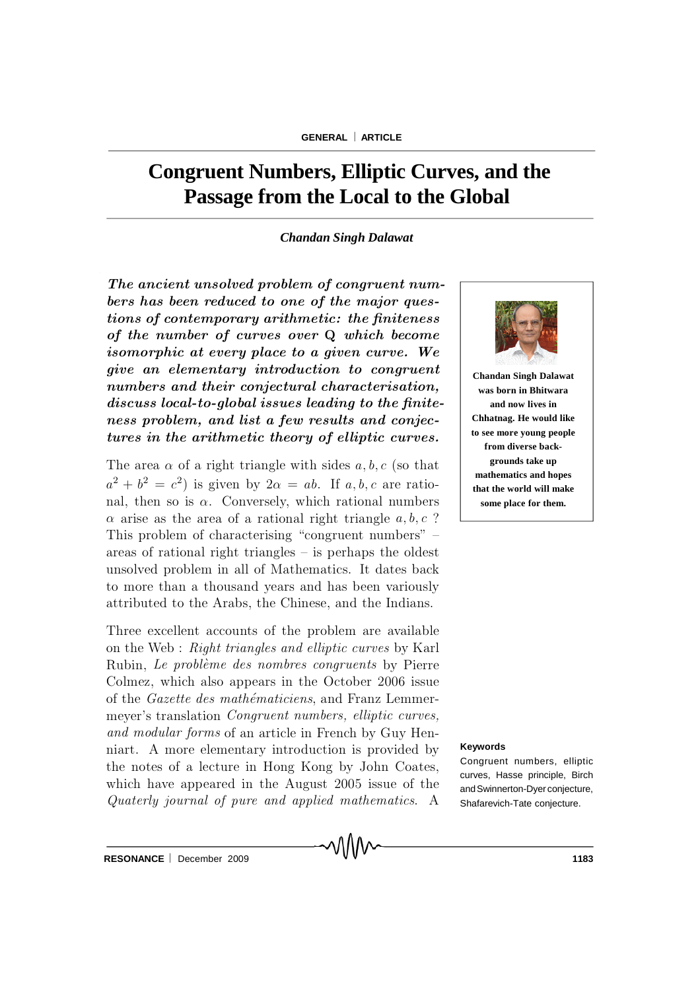# **Congruent Numbers, Elliptic Curves, and the Passage from the Local to the Global**

#### *Chandan Singh Dalawat*

The ancient unsolved problem of congruent numbers has been reduced to one of the major questions of contemporary arithmetic: the finiteness of the number of curves over  $Q$  which become isomorphic at every place to a given curve. We give an elementary introduction to congruent numbers and their conjectural characterisation, discuss local-to-global issues leading to the finiteness problem, and list a few results and conjectures in the arithmetic theory of elliptic curves.

The area  $\alpha$  of a right triangle with sides a, b, c (so that  $a^2 + b^2 = c^2$  is given by  $2\alpha = ab$ . If a, b, c are rational, then so is  $\alpha$ . Conversely, which rational numbers  $\alpha$  arise as the area of a rational right triangle  $a, b, c$  ? This problem of characterising "congruent numbers"  $$ areas of rational right triangles  $-$  is perhaps the oldest unsolved problem in all of Mathematics. It dates back to more than a thousand years and has been variously attributed to the Arabs, the Chinese, and the Indians.

Three excellent accounts of the problem are available on the Web : Right triangles and elliptic curves by Karl Rubin, Le problème des nombres congruents by Pierre Colmez, which also appears in the October 2006 issue of the Gazette des mathématiciens, and Franz Lemmermeyer's translation *Congruent numbers, elliptic curves*, and modular forms of an article in French by Guy Henniart. A more elementary introduction is provided by the notes of a lecture in Hong Kong by John Coates, which have appeared in the August 2005 issue of the Quaterly journal of pure and applied mathematics. A



**Chandan Singh Dalawat was born in Bhitwara and now lives in Chhatnag. He would like to see more young people from diverse backgrounds take up mathematics and hopes that the world will make some place for them.**

#### **Keywords**

Congruent numbers, elliptic curves, Hasse principle, Birch andSwinnerton-Dyerconjecture, Shafarevich-Tate conjecture.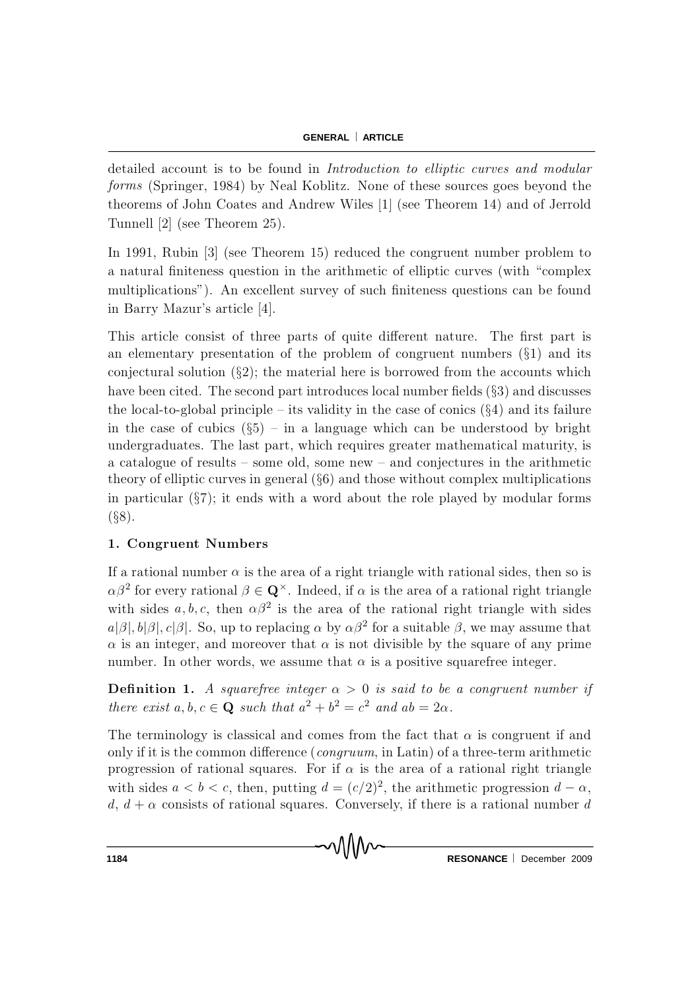detailed account is to be found in Introduction to elliptic curves and modular forms (Springer, 1984) by Neal Koblitz. None of these sources goes beyond the theorems of John Coates and Andrew Wiles [1] (see Theorem 14) and of Jerrold Tunnell  $[2]$  (see Theorem 25).

In 1991, Rubin  $\begin{bmatrix} 3 \end{bmatrix}$  (see Theorem 15) reduced the congruent number problem to a natural finiteness question in the arithmetic of elliptic curves (with "complex" multiplications"). An excellent survey of such finiteness questions can be found in Barry Mazur's article [4].

This article consist of three parts of quite different nature. The first part is an elementary presentation of the problem of congruent numbers  $(\S1)$  and its conjectural solution  $(\S2)$ ; the material here is borrowed from the accounts which have been cited. The second part introduces local number fields  $(\S 3)$  and discusses the local-to-global principle  $-$  its validity in the case of conics  $(\S 4)$  and its failure in the case of cubics  $(\S5)$  – in a language which can be understood by bright undergraduates. The last part, which requires greater mathematical maturity, is a catalogue of results  $-$  some old, some new  $-$  and conjectures in the arithmetic theory of elliptic curves in general  $(\S6)$  and those without complex multiplications in particular  $(\S7)$ ; it ends with a word about the role played by modular forms  $(S8)$ .

## 1. Congruent Numbers

If a rational number  $\alpha$  is the area of a right triangle with rational sides, then so is  $\alpha\beta^2$  for every rational  $\beta \in \mathbf{Q}^{\times}$ . Indeed, if  $\alpha$  is the area of a rational right triangle with sides  $a, b, c$ , then  $\alpha \beta^2$  is the area of the rational right triangle with sides  $a|\beta|, b|\beta|, c|\beta|$ . So, up to replacing  $\alpha$  by  $\alpha\beta^2$  for a suitable  $\beta$ , we may assume that  $\alpha$  is an integer, and moreover that  $\alpha$  is not divisible by the square of any prime number. In other words, we assume that  $\alpha$  is a positive squarefree integer.

**Definition 1.** A squarefree integer  $\alpha > 0$  is said to be a congruent number if there exist  $a, b, c \in \mathbf{Q}$  such that  $a^2 + b^2 = c^2$  and  $ab = 2\alpha$ .

The terminology is classical and comes from the fact that  $\alpha$  is congruent if and only if it is the common difference (*congruum*, in Latin) of a three-term arithmetic progression of rational squares. For if  $\alpha$  is the area of a rational right triangle with sides  $a < b < c$ , then, putting  $d = (c/2)^2$ , the arithmetic progression  $d - \alpha$ ,  $d, d + \alpha$  consists of rational squares. Conversely, if there is a rational number d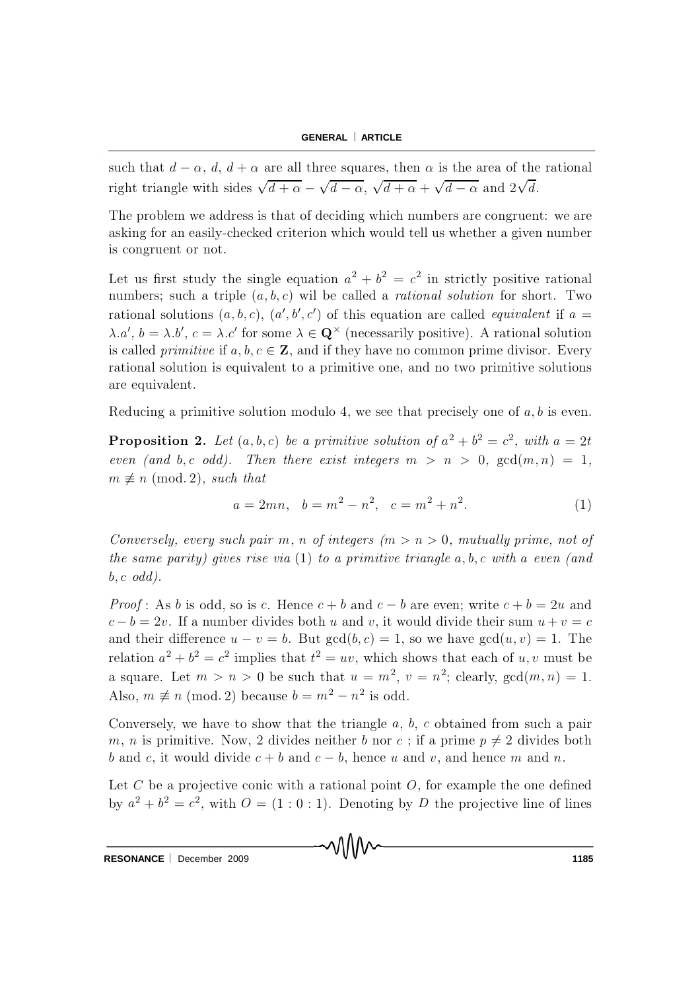such that  $d - \alpha$ ,  $d$ ,  $d + \alpha$  are all three squares, then  $\alpha$  is the area of the rational right triangle with sides  $\sqrt{d+\alpha} - \sqrt{d-\alpha}$ ,  $\sqrt{d+\alpha} + \sqrt{d-\alpha}$  and  $2\sqrt{d}$ .

The problem we address is that of deciding which numbers are congruent: we are asking for an easily-checked criterion which would tell us whether a given number is congruent or not.

Let us first study the single equation  $a^2 + b^2 = c^2$  in strictly positive rational numbers; such a triple  $(a, b, c)$  will be called a *rational solution* for short. Two rational solutions  $(a, b, c)$ ,  $(a', b', c')$  of this equation are called *equivalent* if a =  $\lambda.a', b = \lambda.b', c = \lambda.c'$  for some  $\lambda \in \mathbf{Q}^{\times}$  (necessarily positive). A rational solution is called *primitive* if  $a, b, c \in \mathbb{Z}$ , and if they have no common prime divisor. Every rational solution is equivalent to a primitive one, and no two primitive solutions are equivalent.

Reducing a primitive solution modulo 4, we see that precisely one of  $a, b$  is even.

**Proposition 2.** Let  $(a, b, c)$  be a primitive solution of  $a^2 + b^2 = c^2$ , with  $a = 2t$ even (and b, c odd). Then there exist integers  $m > n > 0$ ,  $gcd(m, n) = 1$ ,  $m \not\equiv n \pmod{2}$ , such that

$$
a = 2mn, \quad b = m^2 - n^2, \quad c = m^2 + n^2. \tag{1}
$$

Conversely, every such pair m, n of integers  $(m > n > 0,$  mutually prime, not of the same parity) gives rise via  $(1)$  to a primitive triangle a, b, c with a even (and  $b, c \text{ odd}.$ 

*Proof*: As b is odd, so is c. Hence  $c + b$  and  $c - b$  are even; write  $c + b = 2u$  and  $c - b = 2v$ . If a number divides both u and v, it would divide their sum  $u + v = c$ and their difference  $u - v = b$ . But  $gcd(b, c) = 1$ , so we have  $gcd(u, v) = 1$ . The relation  $a^2 + b^2 = c^2$  implies that  $t^2 = uv$ , which shows that each of  $u, v$  must be a square. Let  $m > n > 0$  be such that  $u = m^2$ ,  $v = n^2$ ; clearly,  $gcd(m, n) = 1$ . Also,  $m \not\equiv n \pmod{2}$  because  $b = m^2 - n^2$  is odd.

Conversely, we have to show that the triangle  $a, b, c$  obtained from such a pair m, n is primitive. Now, 2 divides neither b nor c; if a prime  $p \neq 2$  divides both b and c, it would divide  $c + b$  and  $c - b$ , hence u and v, and hence m and n.

Let C be a projective conic with a rational point  $O$ , for example the one defined by  $a^2 + b^2 = c^2$ , with  $O = (1:0:1)$ . Denoting by D the projective line of lines

MMN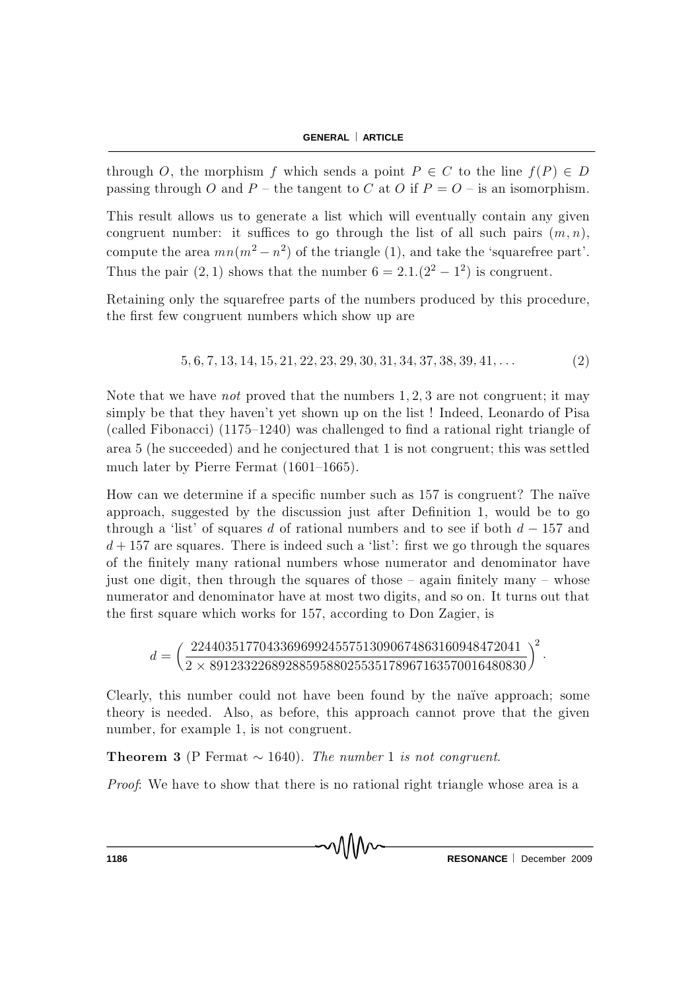through O, the morphism f which sends a point  $P \in C$  to the line  $f(P) \in D$ passing through O and P – the tangent to C at O if  $P = O$  – is an isomorphism.

This result allows us to generate a list which will eventually contain any given congruent number: it suffices to go through the list of all such pairs  $(m, n)$ , compute the area  $mn(m^2 - n^2)$  of the triangle (1), and take the 'squarefree part'. Thus the pair  $(2, 1)$  shows that the number  $6 = 2.1 \cdot (2^2 - 1^2)$  is congruent.

Retaining only the squarefree parts of the numbers produced by this procedure, the first few congruent numbers which show up are

$$
5, 6, 7, 13, 14, 15, 21, 22, 23, 29, 30, 31, 34, 37, 38, 39, 41, \dots \tag{2}
$$

Note that we have not proved that the numbers  $1,2,3$  are not congruent; it may simply be that they haven't yet shown up on the list! Indeed, Leonardo of Pisa (called Fibonacci)  $(1175-1240)$  was challenged to find a rational right triangle of area  $5$  (he succeeded) and he conjectured that 1 is not congruent; this was settled much later by Pierre Fermat  $(1601-1665)$ .

How can we determine if a specific number such as 157 is congruent? The naïve approach, suggested by the discussion just after Definition 1, would be to go through a 'list' of squares d of rational numbers and to see if both  $d - 157$  and  $d + 157$  are squares. There is indeed such a 'list': first we go through the squares of the finitely many rational numbers whose numerator and denominator have just one digit, then through the squares of those  ${\sim}$  again finitely many  ${\sim}$  whose num erator and denominator have at most two digits, and so on. It turns out that the first square which works for 157, according to Don Zagier, is

$$
d = \left(\frac{224403517704336969924557513090674863160948472041}{2 \times 8912332268928859588025535178967163570016480830}\right)^2.
$$

C learly, this number could not have been found by the naïve approach; some theory is needed. Also, as before, this approach cannot prove that the given number, for example 1, is not congruent.

**Theorem 3** (P Fermat  $\sim$  1640). The number 1 is not congruent.

*Proof*: We have to show that there is no rational right triangle whose area is a

**1186 RESONANCE** December 2009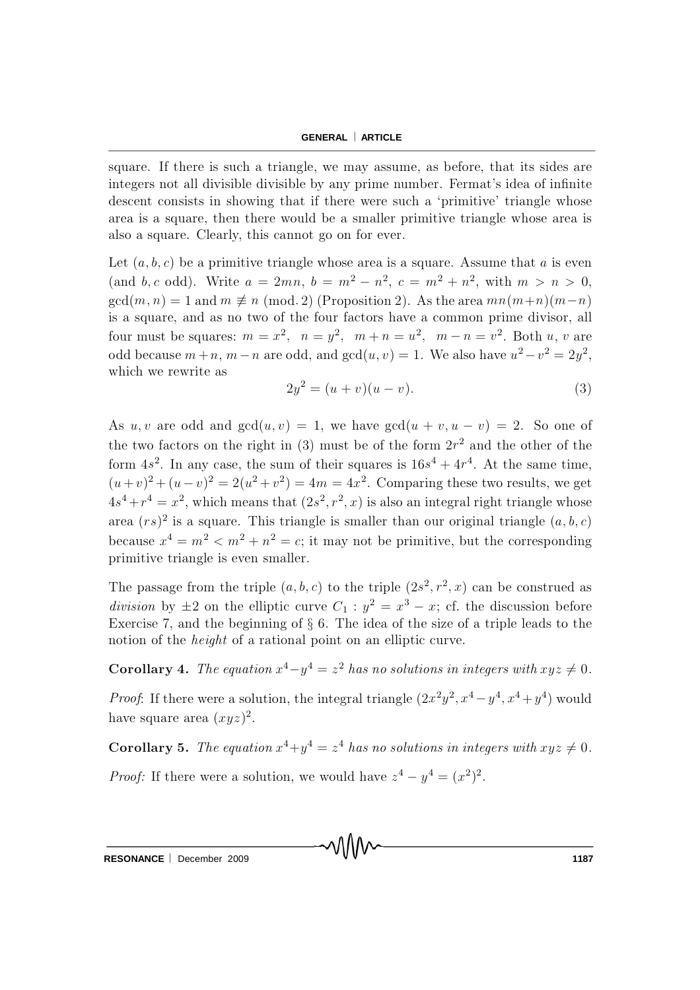square. If there is such a triangle, we may assume, as before, that its sides are integers not all divisible divisible by any prime number. Fermat's idea of infinite descent consists in showing that if there were such a 'primitive' triangle whose area is a square, then there would be a smaller primitive triangle whose area is also a square. Clearly, this cannot go on for ever.

Let  $(a, b, c)$  be a primitive triangle whose area is a square. Assume that a is even (and b, c odd). Write  $a = 2mn$ ,  $b = m^2 - n^2$ ,  $c = m^2 + n^2$ , with  $m > n > 0$ ,  $gcd(m, n) = 1$  and  $m \not\equiv n \pmod{2}$  (Proposition 2). As the area  $mn(m+n)(m-n)$ is a square, and as no two of the four factors have a common prime divisor, all four must be squares:  $m = x^2$ ,  $n = y^2$ ,  $m + n = u^2$ ,  $m - n = v^2$ . Both u, v are odd because  $m + n$ ,  $m - n$  are odd, and  $gcd(u, v) = 1$ . We also have  $u^2 - v^2 = 2y^2$ , which we rewrite as

$$
2y^2 = (u+v)(u-v).
$$
 (3)

As u, v are odd and  $gcd(u, v) = 1$ , we have  $gcd(u + v, u - v) = 2$ . So one of the two factors on the right in (3) must be of the form  $2r^2$  and the other of the form  $4s^2$ . In any case, the sum of their squares is  $16s^4 + 4r^4$ . At the same time,  $(u+v)^2 + (u-v)^2 = 2(u^2 + v^2) = 4m = 4x^2$ . Comparing these two results, we get  $4s^4+r^4=x^2$ , which means that  $(2s^2, r^2, x)$  is also an integral right triangle whose area  $(rs)^2$  is a square. This triangle is smaller than our original triangle  $(a, b, c)$ because  $x^4 = m^2 < m^2 + n^2 = c$ ; it may not be primitive, but the corresponding primitive triangle is even smaller.

The passage from the triple  $(a, b, c)$  to the triple  $(2s^2, r^2, x)$  can be construed as division by  $\pm 2$  on the elliptic curve  $C_1 : y^2 = x^3 - x$ ; cf. the discussion before Exercise 7, and the beginning of  $\S 6$ . The idea of the size of a triple leads to the notion of the height of a rational point on an elliptic curve.

**Corollary 4.** The equation  $x^4 - y^4 = z^2$  has no solutions in integers with  $xyz \neq 0$ .

*Proof*: If there were a solution, the integral triangle  $(2x^2y^2, x^4 - y^4, x^4 + y^4)$  would have square area  $(xyz)^2$ .

**Corollary 5.** The equation  $x^4 + y^4 = z^4$  has no solutions in integers with  $xyz \neq 0$ . *Proof:* If there were a solution, we would have  $z^4 - y^4 = (x^2)^2$ .

√∖∖∖∧∧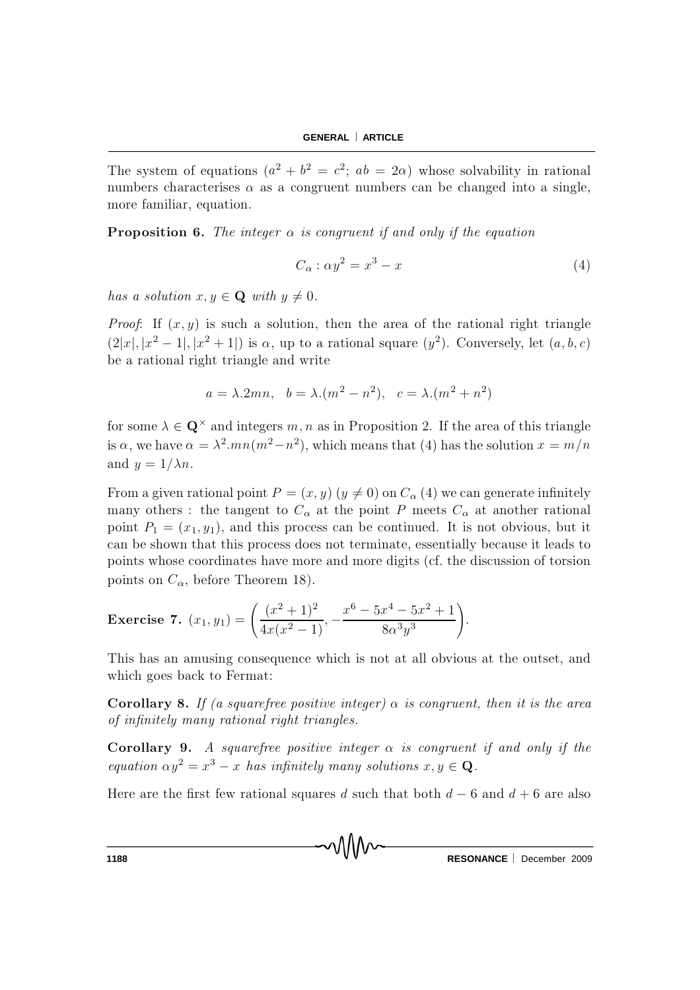The system of equations  $(a^2 + b^2 = c^2; ab = 2\alpha)$  whose solvability in rational numbers characterises  $\alpha$  as a congruent numbers can be changed into a single, more familiar, equation.

**Proposition 6.** The integer  $\alpha$  is congruent if and only if the equation

$$
C_{\alpha} : \alpha y^2 = x^3 - x \tag{4}
$$

has a solution  $x, y \in \mathbf{Q}$  with  $y \neq 0$ .

*Proof*: If  $(x, y)$  is such a solution, then the area of the rational right triangle  $(2|x|, |x^2 - 1|, |x^2 + 1|)$  is  $\alpha$ , up to a rational square  $(y^2)$ . Conversely, let  $(a, b, c)$ be a rational right triangle and write

$$
a = \lambda.2mn
$$
,  $b = \lambda.(m^2 - n^2)$ ,  $c = \lambda.(m^2 + n^2)$ 

for some  $\lambda \in \mathbf{Q}^{\times}$  and integers  $m, n$  as in Proposition 2. If the area of this triangle is  $\alpha$ , we have  $\alpha = \lambda^2.mn(m^2 - n^2)$ , which means that (4) has the solution  $x = m/n$ and  $y = 1/\lambda n$ .

From a given rational point  $P = (x, y)$   $(y \neq 0)$  on  $C_{\alpha}$  (4) we can generate infinitely many others : the tangent to  $C_{\alpha}$  at the point P meets  $C_{\alpha}$  at another rational point  $P_1 = (x_1, y_1)$ , and this process can be continued. It is not obvious, but it can be shown that this process does not terminate, essentially because it leads to points whose coordinates have more and more digits (cf. the discussion of torsion points on  $C_{\alpha}$ , before Theorem 18).

**Exercise 7.** 
$$
(x_1, y_1) = \left(\frac{(x^2 + 1)^2}{4x(x^2 - 1)}, -\frac{x^6 - 5x^4 - 5x^2 + 1}{8\alpha^3 y^3}\right).
$$

This has an amusing consequence which is not at all obvious at the outset, and which goes back to Fermat:

**Corollary 8.** If (a squarefree positive integer)  $\alpha$  is congruent, then it is the area of infinitely many rational right triangles.

Corollary 9. A squarefree positive integer  $\alpha$  is congruent if and only if the equation  $\alpha y^2 = x^3 - x$  has infinitely many solutions  $x, y \in \mathbf{Q}$ .

Here are the first few rational squares d such that both  $d - 6$  and  $d + 6$  are also

**1188 RESONANCE** December 2009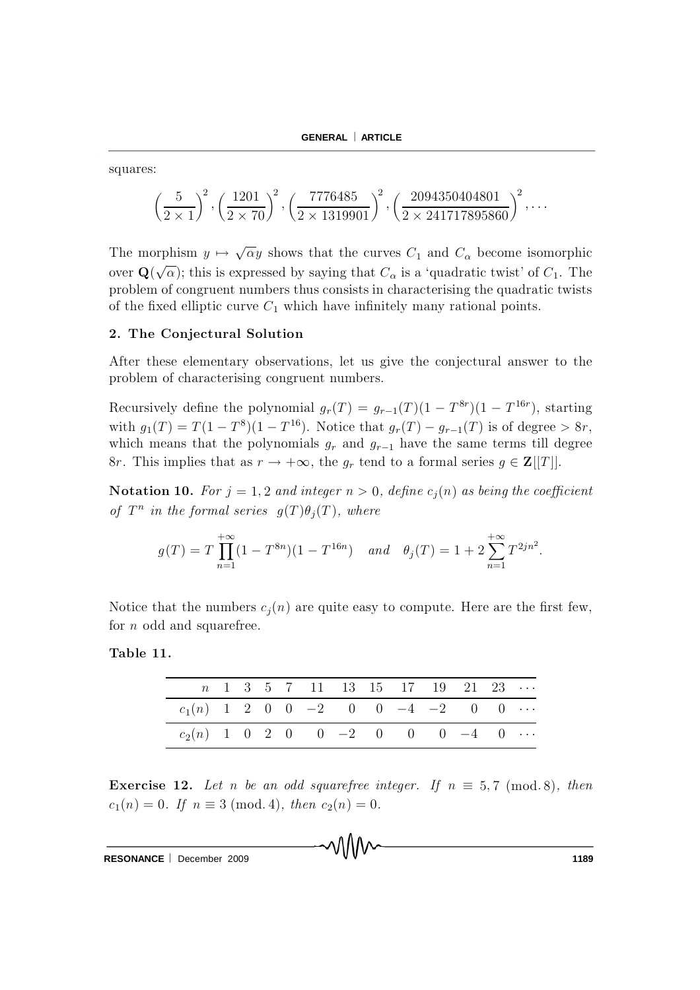squares:

$$
\left(\frac{5}{2\times1}\right)^2, \left(\frac{1201}{2\times70}\right)^2, \left(\frac{7776485}{2\times1319901}\right)^2, \left(\frac{2094350404801}{2\times241717895860}\right)^2, \dots
$$

The morphism  $y \mapsto \sqrt{\alpha}y$  shows that the curves  $C_1$  and  $C_{\alpha}$  become isomorphic over  $\mathbf{Q}(\sqrt{\alpha})$ ; this is expressed by saying that  $C_{\alpha}$  is a 'quadratic twist' of  $C_1$ . The problem of congruent numbers thus consists in characterising the quadratic twists of the fixed elliptic curve  $C_1$  which have infinitely many rational points.

#### 2. The Conjectural Solution

After these elementary observations, let us give the conjectural answer to the problem of characterising congruent numbers.

Recursively define the polynomial  $g_r(T) = g_{r-1}(T)(1 - T^{8r})(1 - T^{16r})$ , starting with  $g_1(T) = T(1 - T^8)(1 - T^{16})$ . Notice that  $g_r(T) - g_{r-1}(T)$  is of degree  $> 8r$ , which means that the polynomials  $g_r$  and  $g_{r-1}$  have the same terms till degree 8r. This implies that as  $r \to +\infty$ , the  $g_r$  tend to a formal series  $g \in \mathbf{Z}[[T]]$ .

**Notation 10.** For  $j = 1, 2$  and integer  $n > 0$ , define  $c_i(n)$  as being the coefficient of  $T^n$  in the formal series  $g(T)\theta_i(T)$ , where

$$
g(T) = T \prod_{n=1}^{+\infty} (1 - T^{8n})(1 - T^{16n}) \quad and \quad \theta_j(T) = 1 + 2 \sum_{n=1}^{+\infty} T^{2jn^2}.
$$

Notice that the numbers  $c_i(n)$  are quite easy to compute. Here are the first few, for  $n$  odd and squarefree.

Table 11.

|                                            |  |  | $n \quad 1 \quad 3 \quad 5 \quad 7 \quad 11 \quad 13 \quad 15 \quad 17 \quad 19 \quad 21 \quad 23 \quad \cdots$ |  |  |  |  |
|--------------------------------------------|--|--|-----------------------------------------------------------------------------------------------------------------|--|--|--|--|
| $c_1(n)$ 1 2 0 0 -2 0 0 -4 -2 0 0 $\cdots$ |  |  |                                                                                                                 |  |  |  |  |
| $c_2(n)$ 1 0 2 0 0 -2 0 0 0 -4 0           |  |  |                                                                                                                 |  |  |  |  |

**Exercise 12.** Let n be an odd squarefree integer. If  $n \equiv 5,7 \pmod{8}$ , then  $c_1(n) = 0$ . If  $n \equiv 3 \pmod{4}$ , then  $c_2(n) = 0$ .

MM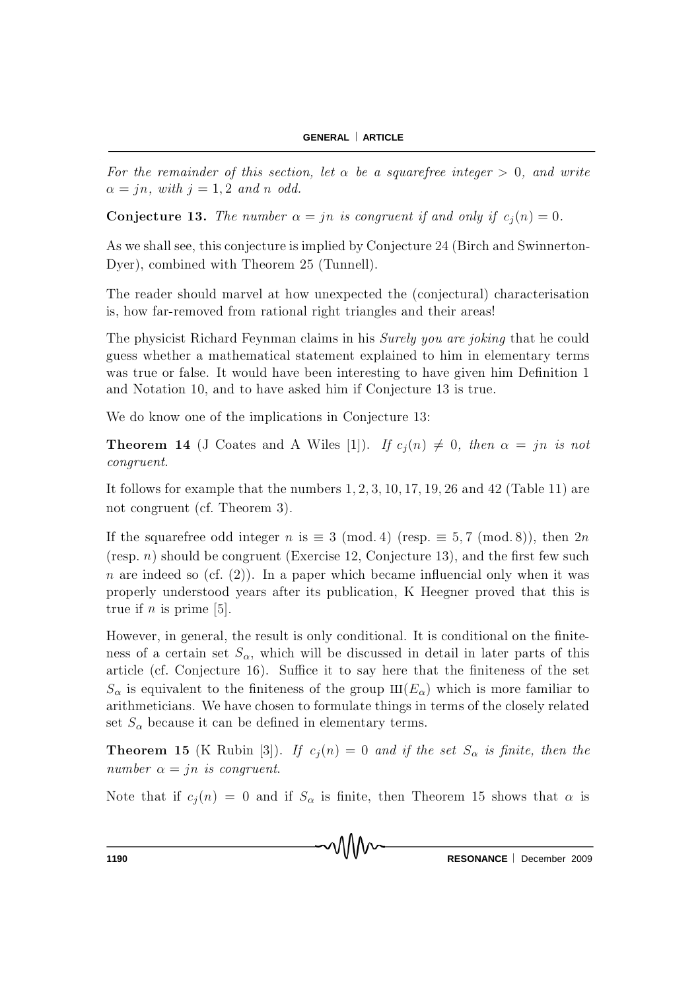For the remainder of this section, let  $\alpha$  be a squarefree integer  $> 0$ , and write  $\alpha = jn$ , with  $j = 1, 2$  and n odd.

**Conjecture 13.** The number  $\alpha = jn$  is congruent if and only if  $c_i(n) = 0$ .

As we shall see, this conjecture is implied by Conjecture 24 (Birch and Swinnerton-Dver), combined with Theorem 25 (Tunnell).

The reader should marvel at how unexpected the (conjectural) characterisation is, how far-removed from rational right triangles and their areas!

The physicist Richard Feynman claims in his Surely you are joking that he could guess whether a mathematical statement explained to him in elementary terms was true or false. It would have been interesting to have given him Definition 1 and Notation 10, and to have asked him if Conjecture 13 is true.

We do know one of the implications in Conjecture 13:

**Theorem 14** (J Coates and A Wiles [1]). If  $c_i(n) \neq 0$ , then  $\alpha = jn$  is not *congruent.* 

It follows for example that the numbers  $1, 2, 3, 10, 17, 19, 26$  and  $42$  (Table 11) are not congruent (cf. Theorem 3).

If the squarefree odd integer n is  $\equiv 3 \pmod{4}$  (resp.  $\equiv 5,7 \pmod{8}$ ), then  $2n$ (resp.  $n$ ) should be congruent (Exercise 12, Conjecture 13), and the first few such *n* are indeed so (cf. (2)). In a paper which became influencial only when it was properly understood years after its publication, K Heegner proved that this is true if *n* is prime [5].

However, in general, the result is only conditional. It is conditional on the finiteness of a certain set  $S_{\alpha}$ , which will be discussed in detail in later parts of this article (cf. Conjecture 16). Suffice it to say here that the finiteness of the set  $S_{\alpha}$  is equivalent to the finiteness of the group  $III(E_{\alpha})$  which is more familiar to arithmeticians. We have chosen to formulate things in terms of the closely related set  $S_{\alpha}$  because it can be defined in elementary terms.

**Theorem 15** (K Rubin [3]). If  $c_i(n) = 0$  and if the set  $S_\alpha$  is finite, then the number  $\alpha = in$  is congruent.

Note that if  $c_j(n) = 0$  and if  $S_\alpha$  is finite, then Theorem 15 shows that  $\alpha$  is

MM

RESONANCE | December 2009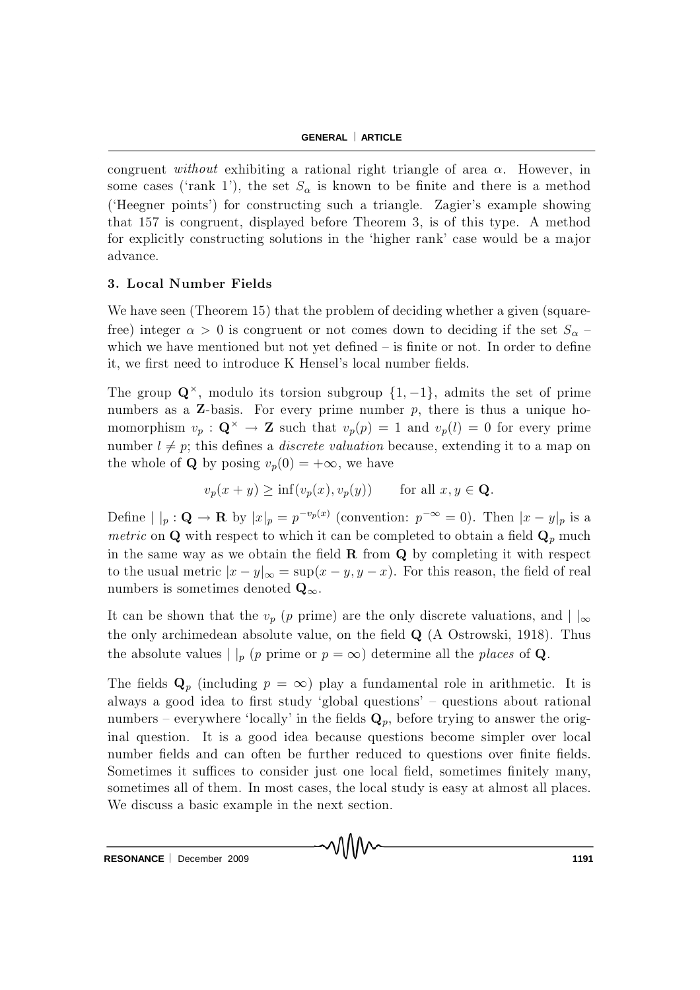congruent without exhibiting a rational right triangle of area  $\alpha$ . However, in some cases ('rank 1'), the set  $S_{\alpha}$  is known to be finite and there is a method ('Heegner points') for constructing such a triangle. Zagier's example showing that  $157$  is congruent, displayed before Theorem 3, is of this type. A method for explicitly constructing solutions in the 'higher rank' case would be a major advance.

## 3. Local Number Fields

We have seen (Theorem 15) that the problem of deciding whether a given (squarefree) integer  $\alpha > 0$  is congruent or not comes down to deciding if the set  $S_{\alpha}$ which we have mentioned but not yet defined  ${\bf -}$  is finite or not. In order to define it, we first need to introduce K Hensel's local number fields.

The group  $\mathbf{Q}^{\times}$ , modulo its torsion subgroup  $\{1, -1\}$ , admits the set of prime numbers as a  $Z$ -basis. For every prime number  $p$ , there is thus a unique homomorphism  $v_p : \mathbf{Q}^{\times} \to \mathbf{Z}$  such that  $v_p(p) = 1$  and  $v_p(l) = 0$  for every prime number  $l \neq p$ ; this defines a *discrete valuation* because, extending it to a map on the whole of **Q** by posing  $v_p(0) = +\infty$ , we have

$$
v_p(x + y) \ge \inf(v_p(x), v_p(y)) \quad \text{for all } x, y \in \mathbf{Q}.
$$

Define  $| \ |_p : \mathbf{Q} \to \mathbf{R}$  by  $|x|_p = p^{-v_p(x)}$  (convention:  $p^{-\infty} = 0$ ). Then  $|x - y|_p$  is a *metric* on **Q** with respect to which it can be completed to obtain a field  $\mathbf{Q}_p$  much in the same way as we obtain the field  $\bf R$  from  $\bf Q$  by completing it with respect to the usual metric  $|x - y|_{\infty} = \sup(x - y, y - x)$ . For this reason, the field of real numbers is sometimes denoted  $\mathbf{Q}_{\infty}$ .

It can be shown that the  $v_p$  (p prime) are the only discrete valuations, and  $| \cdot |_{\infty}$ the only archimedean absolute value, on the field  $Q$  (A Ostrowski, 1918). Thus the absolute values  $|p|_p$  (p prime or  $p = \infty$ ) determine all the places of Q.

The fields  $\mathbf{Q}_p$  (including  $p = \infty$ ) play a fundamental role in arithmetic. It is always a good idea to first study 'global questions'  $-$  questions about rational numbers – everywhere 'locally' in the fields  $\mathbf{Q}_p$ , before trying to answer the original question. It is a good idea because questions become simpler over local number fields and can often be further reduced to questions over finite fields. Sometimes it suffices to consider just one local field, sometimes finitely many, sometimes all of them. In most cases, the local study is easy at almost all places. We discuss a basic example in the next section.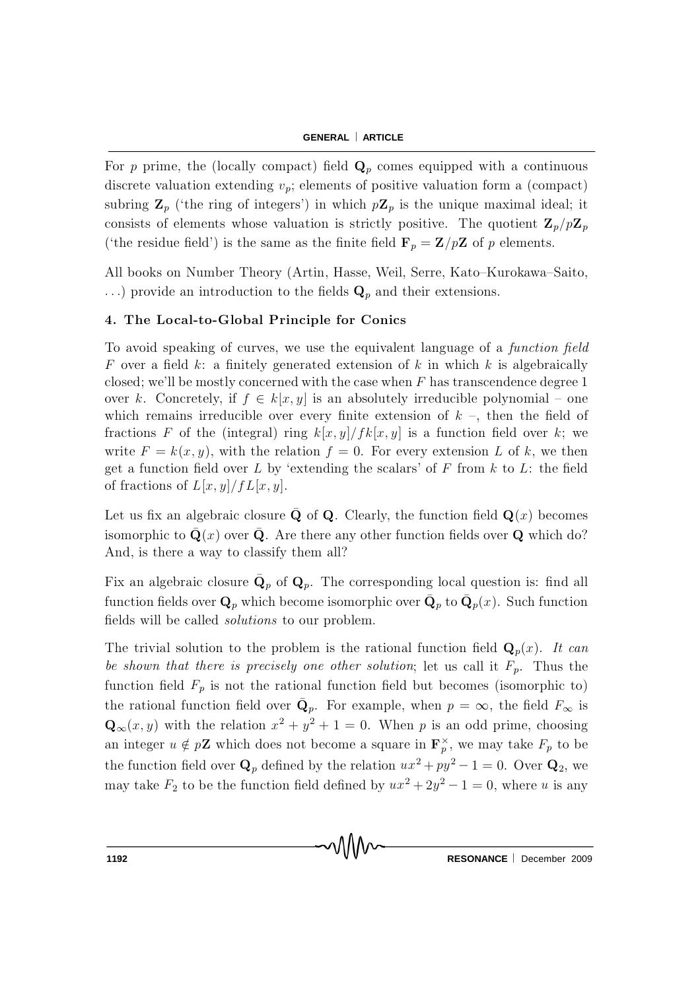For p prime, the (locally compact) field  $\mathbf{Q}_p$  comes equipped with a continuous discrete valuation extending  $v_p$ ; elements of positive valuation form a (compact) subring  $\mathbf{Z}_p$  ('the ring of integers') in which  $p\mathbf{Z}_p$  is the unique maximal ideal; it consists of elements whose valuation is strictly positive. The quotient  $\mathbf{Z}_p/p\mathbf{Z}_p$ ('the residue field') is the same as the finite field  $\mathbf{F}_p = \mathbf{Z}/p\mathbf{Z}$  of p elements.

All books on Number Theory (Artin, Hasse, Weil, Serre, Kato–Kurokawa–Saito, ...) provide an introduction to the fields  $\mathbf{Q}_p$  and their extensions.

### 4. The Local-to-Global Principle for Conics

To avoid speaking of curves, we use the equivalent language of a function field F over a field k: a finitely generated extension of k in which k is algebraically closed; we'll be mostly concerned with the case when  $F$  has transcendence degree 1 over k. Concretely, if  $f \in k[x, y]$  is an absolutely irreducible polynomial – one which remains irreducible over every finite extension of  $k -$ , then the field of fractions F of the (integral) ring  $k[x,y]/fk[x,y]$  is a function field over k; we write  $F = k(x, y)$ , with the relation  $f = 0$ . For every extension L of k, we then get a function field over L by 'extending the scalars' of F from  $k$  to L: the field of fractions of  $L[x, y]/fL[x, y]$ .

Let us fix an algebraic closure  $\bar{\mathbf{Q}}$  of Q. Clearly, the function field  $\mathbf{Q}(x)$  becomes isomorphic to  $\bar{Q}(x)$  over  $\bar{Q}$ . Are there any other function fields over Q which do? And, is there a way to classify them all?

Fix an algebraic closure  $\mathbf{Q}_p$  of  $\mathbf{Q}_p$ . The corresponding local question is: find all function fields over  $\mathbf{Q}_p$  which become isomorphic over  $\bar{\mathbf{Q}}_p$  to  $\bar{\mathbf{Q}}_p(x)$ . Such function fields will be called *solutions* to our problem.

The trivial solution to the problem is the rational function field  $\mathbf{Q}_p(x)$ . It can be shown that there is precisely one other solution; let us call it  $F_p$ . Thus the function field  $F_p$  is not the rational function field but becomes (isomorphic to) the rational function field over  $\bar{\mathbf{Q}}_p$ . For example, when  $p = \infty$ , the field  $F_{\infty}$  is  $\mathbf{Q}_{\infty}(x, y)$  with the relation  $x^2 + y^2 + 1 = 0$ . When p is an odd prime, choosing an integer  $u \notin p\mathbf{Z}$  which does not become a square in  $\mathbf{F}_p^{\times}$ , we may take  $F_p$  to be the function field over  $\mathbf{Q}_p$  defined by the relation  $ux^2 + py^2 - 1 = 0$ . Over  $\mathbf{Q}_2$ , we may take  $F_2$  to be the function field defined by  $ux^2 + 2y^2 - 1 = 0$ , where u is any

MM

RESONANCE | December 2009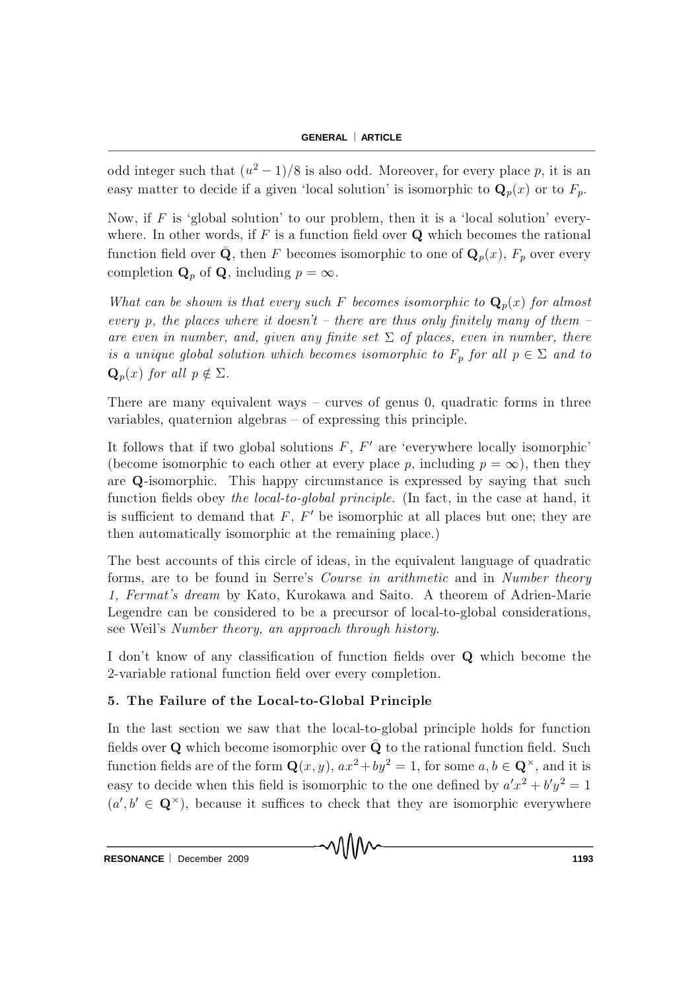odd integer such that  $(u^2 - 1)/8$  is also odd. Moreover, for every place p, it is an easy matter to decide if a given 'local solution' is isomorphic to  $\mathbf{Q}_p(x)$  or to  $F_p$ .

Now, if  $F$  is 'global solution' to our problem, then it is a 'local solution' everywhere. In other words, if  $F$  is a function field over  $Q$  which becomes the rational function field over  $\bar{\mathbf{Q}}$ , then F becomes isomorphic to one of  $\mathbf{Q}_p(x)$ ,  $F_p$  over every completion  $\mathbf{Q}_p$  of  $\mathbf{Q}$ , including  $p = \infty$ .

What can be shown is that every such F becomes isomorphic to  $\mathbf{Q}_p(x)$  for almost every p, the places where it doesn't – there are thus only finitely many of them – are even in number, and, given any finite set  $\Sigma$  of places, even in number, there is a unique global solution which becomes isomorphic to  $F_p$  for all  $p \in \Sigma$  and to  $\mathbf{Q}_p(x)$  for all  $p \notin \Sigma$ .

There are many equivalent ways  $\sim$  curves of genus 0, quadratic forms in three variables, quaternion algebras  $-$  of expressing this principle.

It follows that if two global solutions  $F, F'$  are 'everywhere locally isomorphic' (become isomorphic to each other at every place p, including  $p = \infty$ ), then they are Q-isomorphic. This happy circumstance is expressed by saying that such function fields obey the local-to-global principle. (In fact, in the case at hand, it is sufficient to demand that  $F, F'$  be isomorphic at all places but one; they are then automatically isomorphic at the remaining place.)

The best accounts of this circle of ideas, in the equivalent language of quadratic forms, are to be found in Serre's *Course in arithmetic* and in *Number theory* 1, Fermat's dream by Kato, Kurokawa and Saito. A theorem of Adrien-Marie Legendre can be considered to be a precursor of local-to-global considerations, see Weil's Number theory, an approach through history.

I don't know of any classification of function fields over Q which become the 2-variable rational function field over every completion.

#### 5. The Failure of the Local-to-Global Principle

In the last section we saw that the local-to-global principle holds for function fields over  ${\bf Q}$  which become isomorphic over  $\bar {\bf Q}$  to the rational function field. Such function fields are of the form  $\mathbf{Q}(x, y)$ ,  $ax^2 + by^2 = 1$ , for some  $a, b \in \mathbf{Q}^{\times}$ , and it is easy to decide when this field is isomorphic to the one defined by  $a'x^2 + b'y^2 = 1$  $(a', b' \in \mathbf{Q}^{\times})$ , because it suffices to check that they are isomorphic everywhere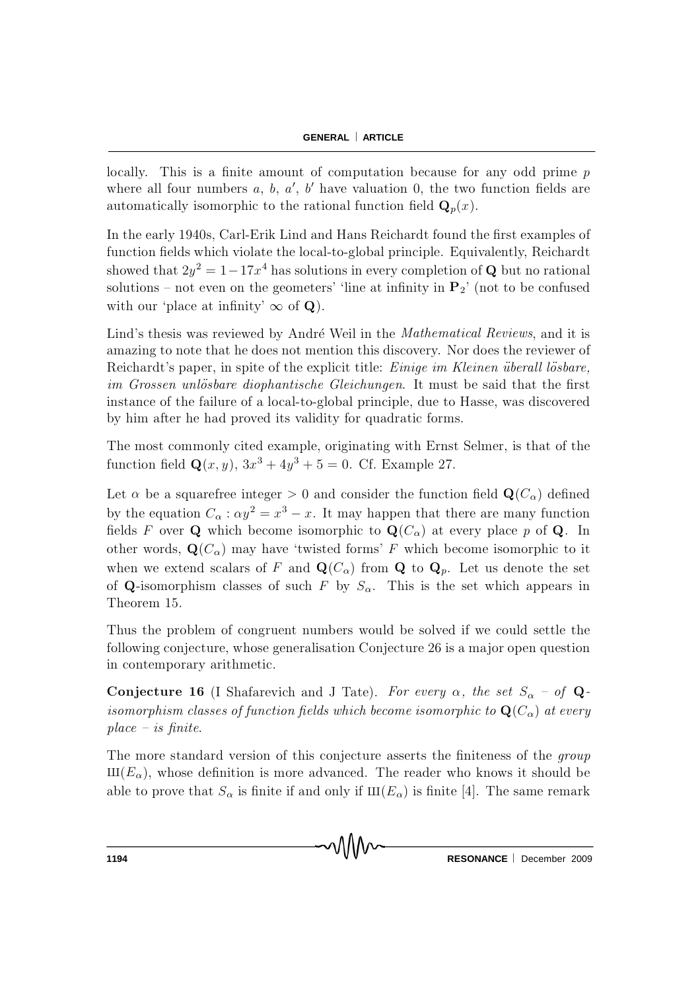locally. This is a finite amount of computation because for any odd prime  $p$ where all four numbers  $a, b, a', b'$  have valuation 0, the two function fields are automatically isomorphic to the rational function field  $\mathbf{Q}_p(x)$ .

In the early 1940s, Carl-Erik Lind and Hans Reichardt found the first examples of function fields which violate the local-to-global principle. Equivalently, Reichardt showed that  $2y^2 = 1-17x^4$  has solutions in every completion of Q but no rational solutions – not even on the geometers' 'line at infinity in  $P_2$ ' (not to be confused with our 'place at infinity'  $\infty$  of Q).

Lind's thesis was reviewed by André Weil in the *Mathematical Reviews*, and it is amazing to note that he does not mention this discovery. Nor does the reviewer of Reichardt's paper, in spite of the explicit title: *Einige im Kleinen überall lösbare*, im Grossen unlösbare diophantische Gleichungen. It must be said that the first instance of the failure of a local-to-global principle, due to Hasse, was discovered by him after he had proved its validity for quadratic forms.

The most commonly cited example, originating with Ernst Selmer, is that of the function field  $Q(x, y)$ ,  $3x^3 + 4y^3 + 5 = 0$ . Cf. Example 27.

Let  $\alpha$  be a squarefree integer > 0 and consider the function field  $\mathbf{Q}(C_{\alpha})$  defined by the equation  $C_{\alpha}$ :  $\alpha y^2 = x^3 - x$ . It may happen that there are many function fields F over Q which become isomorphic to  $\mathbf{Q}(C_{\alpha})$  at every place p of Q. In other words,  $\mathbf{Q}(C_{\alpha})$  may have 'twisted forms' F which become isomorphic to it when we extend scalars of F and  $\mathbf{Q}(C_{\alpha})$  from Q to  $\mathbf{Q}_p$ . Let us denote the set of Q-isomorphism classes of such F by  $S_{\alpha}$ . This is the set which appears in Theorem 15.

Thus the problem of congruent numbers would be solved if we could settle the following conjecture, whose generalisation Conjecture 26 is a major open question in contemporary arithmetic.

**Conjecture 16** (I Shafarevich and J Tate). For every  $\alpha$ , the set  $S_{\alpha}$  - of **Q**isomorphism classes of function fields which become isomorphic to  $\mathbf{Q}(C_{\alpha})$  at every  $place - is finite.$ 

The more standard version of this conjecture asserts the finiteness of the *group*  $III(E_{\alpha})$ , whose definition is more advanced. The reader who knows it should be able to prove that  $S_{\alpha}$  is finite if and only if  $III(E_{\alpha})$  is finite [4]. The same remark

MM

RESONANCE | December 2009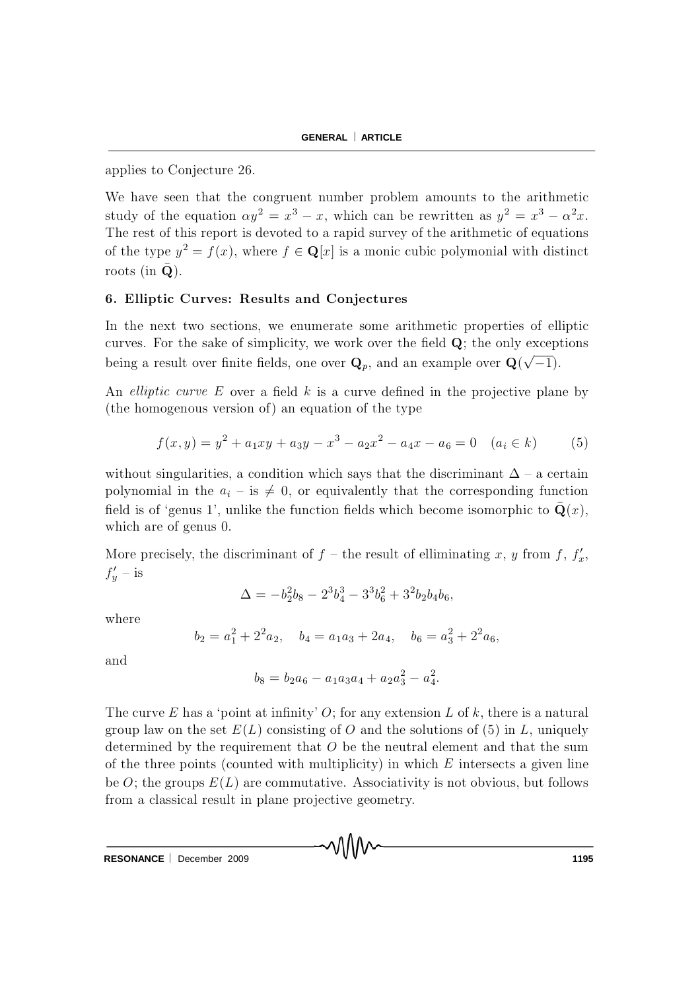applies to Conjecture 26.

We have seen that the congruent number problem amounts to the arithmetic study of the equation  $\alpha y^2 = x^3 - x$ , which can be rewritten as  $y^2 = x^3 - \alpha^2 x$ . The rest of this report is devoted to a rapid survey of the arithmetic of equations of the type  $y^2 = f(x)$ , where  $f \in \mathbf{Q}[x]$  is a monic cubic polymonial with distinct roots (in  $\bar{\mathbf{Q}}$ ).

### 6. Elliptic Curves: Results and Conjectures

In the next two sections, we enumerate some arithmetic properties of elliptic curves. For the sake of simplicity, we work over the field  $Q$ ; the only exceptions being a result over finite fields, one over  $\mathbf{Q}_p$ , and an example over  $\mathbf{Q}(\sqrt{-1})$ .

An *elliptic curve*  $E$  over a field  $k$  is a curve defined in the projective plane by (the homogenous version of) an equation of the type

$$
f(x,y) = y^2 + a_1xy + a_3y - x^3 - a_2x^2 - a_4x - a_6 = 0 \quad (a_i \in k)
$$
 (5)

without singularities, a condition which says that the discriminant  $\Delta$  – a certain polynomial in the  $a_i$  – is  $\neq 0$ , or equivalently that the corresponding function field is of 'genus 1', unlike the function fields which become isomorphic to  $\bar{Q}(x)$ , which are of genus 0.

More precisely, the discriminant of  $f$  – the result of elliminating x, y from f,  $f'_x$ ,  $f'_y$  – is

$$
\Delta = -b_2^2 b_8 - 2^3 b_4^3 - 3^3 b_6^2 + 3^2 b_2 b_4 b_6,
$$

where

$$
b_2 = a_1^2 + 2^2 a_2, \quad b_4 = a_1 a_3 + 2a_4, \quad b_6 = a_3^2 + 2^2 a_6,
$$

and

$$
b_8 = b_2 a_6 - a_1 a_3 a_4 + a_2 a_3^2 - a_4^2.
$$

The curve E has a 'point at infinity' O; for any extension L of k, there is a natural group law on the set  $E(L)$  consisting of O and the solutions of (5) in L, uniquely determined by the requirement that  $O$  be the neutral element and that the sum of the three points (counted with multiplicity) in which  $E$  intersects a given line be O; the groups  $E(L)$  are commutative. Associativity is not obvious, but follows from a classical result in plane projective geometry.

√∖∖∨∨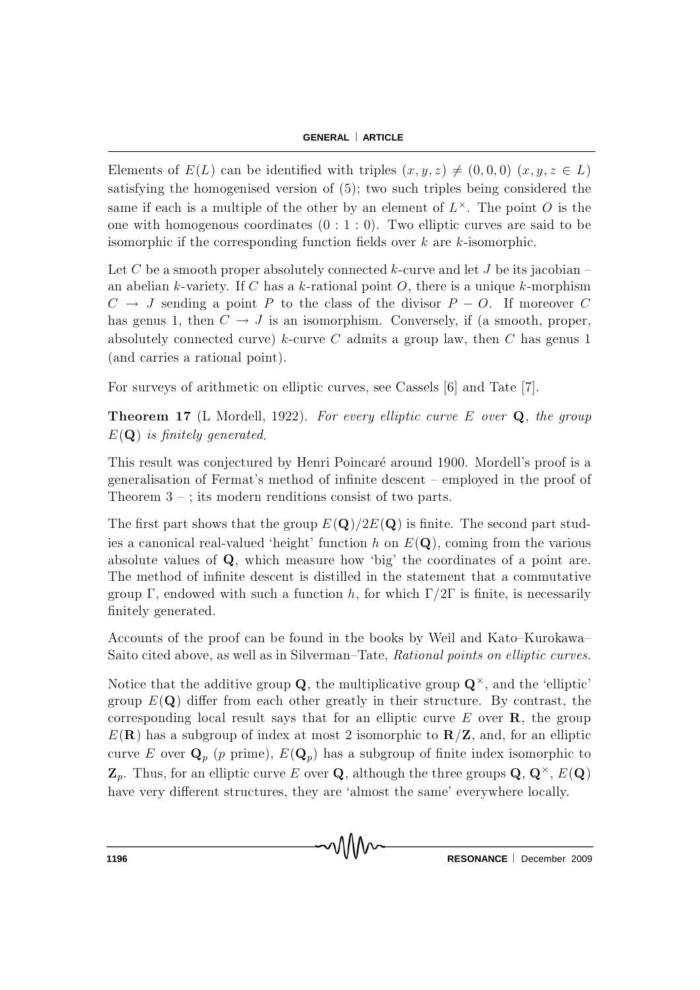Elements of  $E(L)$  can be identified with triples  $(x, y, z) \neq (0, 0, 0)$   $(x, y, z \in L)$ satisfying the homogenised version of  $(5)$ ; two such triples being considered the same if each is a multiple of the other by an element of  $L^{\times}$ . The point O is the one with homogenous coordinates  $(0:1:0)$ . Two elliptic curves are said to be isomorphic if the corresponding function fields over  $k$  are  $k$ -isomorphic.

Let C be a smooth proper absolutely connected k-curve and let J be its jacobian  $$ an abelian k-variety. If C has a k-rational point  $O$ , there is a unique k-morphism  $C \rightarrow J$  sending a point P to the class of the divisor  $P - O$ . If moreover C has genus 1, then  $C \to J$  is an isomorphism. Conversely, if (a smooth, proper, absolutely connected curve) k-curve C admits a group law, then C has genus 1 (and carries a rational point).

For surveys of arithmetic on elliptic curves, see Cassels [6] and Tate [7].

**Theorem 17** (L Mordell, 1922). For every elliptic curve E over  $Q$ , the group  $E(Q)$  is finitely generated.

This result was conjectured by Henri Poincaré around 1900. Mordell's proof is a generalisation of Fermat's method of infinite descent  $-$  employed in the proof of Theorem  $3 -$ ; its modern renditions consist of two parts.

The first part shows that the group  $E(Q)/2E(Q)$  is finite. The second part studies a canonical real-valued 'height' function h on  $E(\mathbf{Q})$ , coming from the various absolute values of  $Q$ , which measure how 'big' the coordinates of a point are. The method of infinite descent is distilled in the statement that a commutative group  $\Gamma$ , endowed with such a function h, for which  $\Gamma/2\Gamma$  is finite, is necessarily finitely generated.

Accounts of the proof can be found in the books by Weil and Kato-Kurokawa-Saito cited above, as well as in Silverman–Tate, Rational points on elliptic curves.

Notice that the additive group  $Q$ , the multiplicative group  $Q^{\times}$ , and the 'elliptic' group  $E(\mathbf{Q})$  differ from each other greatly in their structure. By contrast, the corresponding local result says that for an elliptic curve  $E$  over  $\bf{R}$ , the group  $E(R)$  has a subgroup of index at most 2 isomorphic to  $R/Z$ , and, for an elliptic curve E over  $\mathbf{Q}_p$  (p prime),  $E(\mathbf{Q}_p)$  has a subgroup of finite index isomorphic to  $\mathbf{Z}_p$ . Thus, for an elliptic curve E over **Q**, although the three groups **Q**,  $\mathbf{Q}^{\times}$ ,  $E(\mathbf{Q})$ have very different structures, they are 'almost the same' everywhere locally.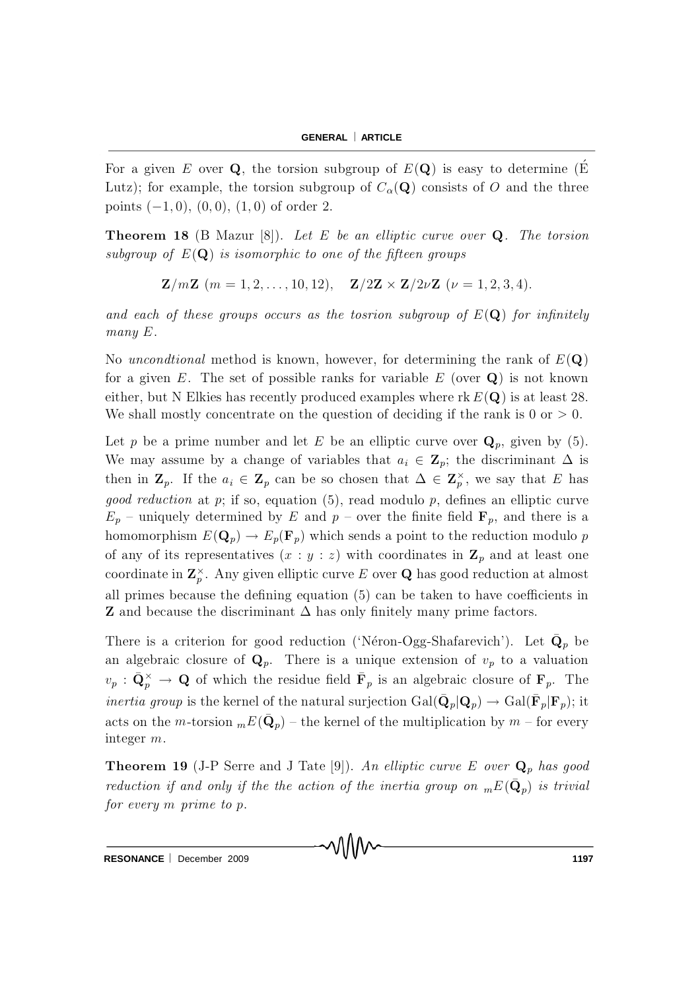For a given E over Q, the torsion subgroup of  $E(\mathbf{Q})$  is easy to determine (E Lutz); for example, the torsion subgroup of  $C_{\alpha}(\mathbf{Q})$  consists of O and the three points  $(-1,0)$ ,  $(0,0)$ ,  $(1,0)$  of order 2.

**Theorem 18** (B Mazur [8]). Let E be an elliptic curve over  $Q$ . The torsion subgroup of  $E(Q)$  is isomorphic to one of the fifteen groups

$$
\mathbf{Z}/m\mathbf{Z} \, (m=1,2,\ldots,10,12), \quad \mathbf{Z}/2\mathbf{Z} \times \mathbf{Z}/2\nu\mathbf{Z} \, (\nu=1,2,3,4).
$$

and each of these groups occurs as the tosrion subgroup of  $E(Q)$  for infinitely  $many E.$ 

No *unconditional* method is known, however, for determining the rank of  $E(\mathbf{Q})$ for a given E. The set of possible ranks for variable  $E$  (over  $Q$ ) is not known either, but N Elkies has recently produced examples where rk  $E(Q)$  is at least 28. We shall mostly concentrate on the question of deciding if the rank is  $0 \text{ or } > 0$ .

Let p be a prime number and let E be an elliptic curve over  $\mathbf{Q}_p$ , given by (5). We may assume by a change of variables that  $a_i \in \mathbb{Z}_p$ ; the discriminant  $\Delta$  is then in  $\mathbf{Z}_p$ . If the  $a_i \in \mathbf{Z}_p$  can be so chosen that  $\Delta \in \mathbf{Z}_p^{\times}$ , we say that E has *good reduction* at p; if so, equation (5), read modulo p, defines an elliptic curve  $E_p$  – uniquely determined by E and p – over the finite field  $\mathbf{F}_p$ , and there is a homomorphism  $E(\mathbf{Q}_p) \to E_p(\mathbf{F}_p)$  which sends a point to the reduction modulo p of any of its representatives  $(x : y : z)$  with coordinates in  $\mathbb{Z}_p$  and at least one coordinate in  $\mathbb{Z}_p^{\times}$ . Any given elliptic curve E over Q has good reduction at almost all primes because the defining equation (5) can be taken to have coefficients in **Z** and because the discriminant  $\Delta$  has only finitely many prime factors.

There is a criterion for good reduction ('Néron-Ogg-Shafarevich'). Let  $\mathbf{Q}_p$  be an algebraic closure of  $\mathbf{Q}_p$ . There is a unique extension of  $v_p$  to a valuation  $v_p$ :  $\bar{\mathbf{Q}}_p^{\times} \to \mathbf{Q}$  of which the residue field  $\bar{\mathbf{F}}_p$  is an algebraic closure of  $\mathbf{F}_p$ . The *inertia group* is the kernel of the natural surjection  $Gal(\mathbf{Q}_p | \mathbf{Q}_p) \to Gal(\mathbf{F}_p | \mathbf{F}_p)$ ; it acts on the *m*-torsion  ${}_{m}E(\bar{Q}_{p})$  – the kernel of the multiplication by *m* – for every integer  $m$ .

**Theorem 19** (J-P Serre and J Tate [9]). An elliptic curve E over  $Q_p$  has good reduction if and only if the the action of the inertia group on  ${}_{m}E(\mathbf{Q}_{p})$  is trivial for every  $m$  prime to  $p$ .

RESONANCE | December 2009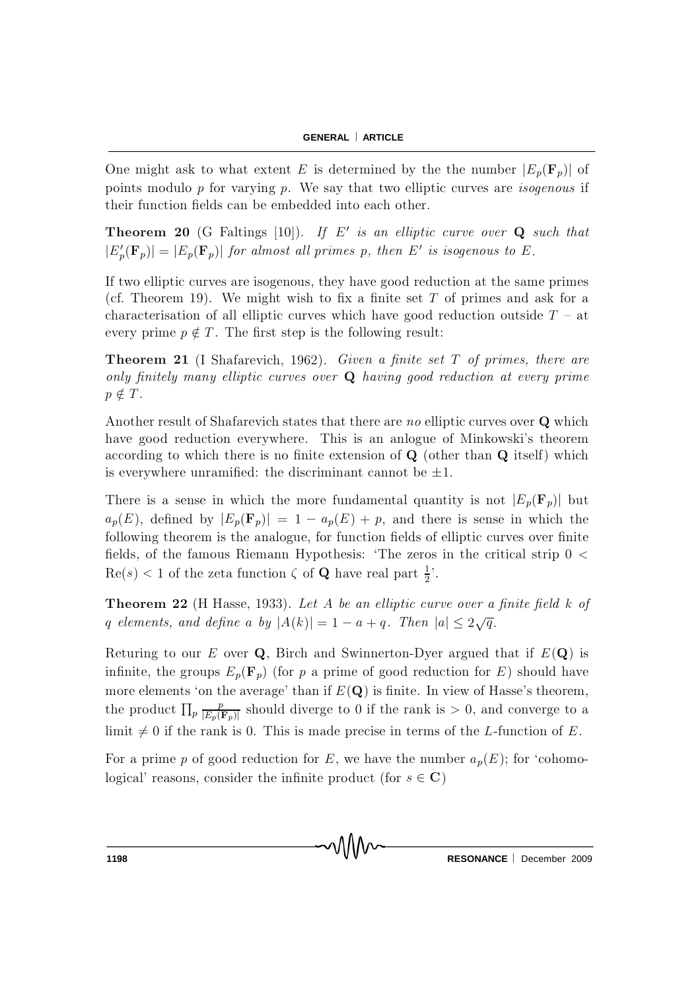One might ask to what extent E is determined by the the number  $|E_p(\mathbf{F}_p)|$  of points modulo  $p$  for varying  $p$ . We say that two elliptic curves are *isogenous* if their function fields can be embedded into each other.

**Theorem 20** (G Faltings [10]). If E' is an elliptic curve over  $Q$  such that  $|E'_p(\mathbf{F}_p)| = |E_p(\mathbf{F}_p)|$  for almost all primes p, then E' is isogenous to E.

If two elliptic curves are isogenous, they have good reduction at the same primes (cf. Theorem 19). We might wish to fix a finite set  $T$  of primes and ask for a characterisation of all elliptic curves which have good reduction outside  $T - at$ every prime  $p \notin T$ . The first step is the following result:

**Theorem 21** (I Shafarevich, 1962). Given a finite set  $T$  of primes, there are only finitely many elliptic curves over  $Q$  having good reduction at every prime  $p \notin T$ .

Another result of Shafarevich states that there are no elliptic curves over  $Q$  which have good reduction everywhere. This is an anlogue of Minkowski's theorem according to which there is no finite extension of  $Q$  (other than  $Q$  itself) which is everywhere unramified: the discriminant cannot be  $\pm 1$ .

There is a sense in which the more fundamental quantity is not  $|E_p(\mathbf{F}_p)|$  but  $a_p(E)$ , defined by  $|E_p(\mathbf{F}_p)| = 1 - a_p(E) + p$ , and there is sense in which the following theorem is the analogue, for function fields of elliptic curves over finite fields, of the famous Riemann Hypothesis: 'The zeros in the critical strip  $0 <$  $\text{Re}(s) < 1$  of the zeta function  $\zeta$  of **Q** have real part  $\frac{1}{2}$  $\frac{1}{2}$ .

**Theorem 22** (H Hasse, 1933). Let A be an elliptic curve over a finite field  $k$  of q elements, and define a by  $|A(k)| = 1 - a + q$ . Then  $|a| \leq 2\sqrt{q}$ .

Returing to our E over Q, Birch and Swinnerton-Dyer argued that if  $E(Q)$  is infinite, the groups  $E_p(\mathbf{F}_p)$  (for p a prime of good reduction for E) should have more elements 'on the average' than if  $E(Q)$  is finite. In view of Hasse's theorem, the product  $\prod_p \frac{p}{|E_p|}$  $\frac{p}{|E_p(\mathbf{F}_p)|}$  should diverge to 0 if the rank is  $> 0$ , and converge to a limit  $\neq 0$  if the rank is 0. This is made precise in terms of the L-function of E.

For a prime p of good reduction for E, we have the number  $a_p(E)$ ; for 'cohomological' reasons, consider the infinite product (for  $s \in \mathbb{C}$ )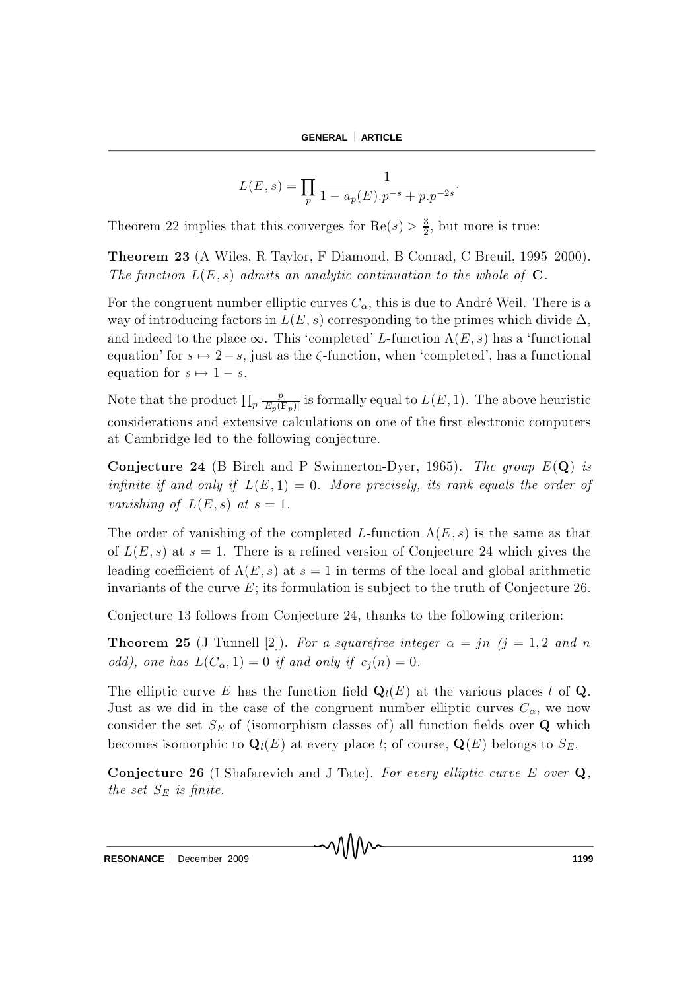$$
L(E, s) = \prod_{p} \frac{1}{1 - a_p(E).p^{-s} + p.p^{-2s}}.
$$

Theorem 22 implies that this converges for  $\text{Re}(s) > \frac{3}{2}$ , but more is true:

**Theorem 23** (A Wiles, R Taylor, F Diamond, B Conrad, C Breuil, 1995–2000). The function  $L(E, s)$  admits an analytic continuation to the whole of  $C$ .

For the congruent number elliptic curves  $C_{\alpha}$ , this is due to André Weil. There is a way of introducing factors in  $L(E, s)$  corresponding to the primes which divide  $\Delta$ , and indeed to the place  $\infty$ . This 'completed' L-function  $\Lambda(E, s)$  has a 'functional equation' for  $s \mapsto 2-s$ , just as the  $\zeta$ -function, when 'completed', has a functional equation for  $s \mapsto 1 - s$ .

Note that the product  $\prod_p \frac{p}{|E_p(\mathbf{F}_p)|}$  is formally equal to  $L(E, 1)$ . The above heuristic considerations and extensive calculations on one of the first electronic computers at Cambridge led to the following conjecture.

**Conjecture 24** (B Birch and P Swinnerton-Dyer, 1965). The group  $E(\mathbf{Q})$  is infinite if and only if  $L(E,1) = 0$ . More precisely, its rank equals the order of vanishing of  $L(E, s)$  at  $s = 1$ .

The order of vanishing of the completed L-function  $\Lambda(E,s)$  is the same as that of  $L(E, s)$  at  $s = 1$ . There is a refined version of Conjecture 24 which gives the leading coefficient of  $\Lambda(E, s)$  at  $s = 1$  in terms of the local and global arithmetic invariants of the curve  $E$ ; its formulation is subject to the truth of Conjecture 26.

Conjecture 13 follows from Conjecture 24, thanks to the following criterion:

**Theorem 25** (J Tunnell [2]). For a squarefree integer  $\alpha = jn$  ( $j = 1, 2$  and n odd), one has  $L(C_{\alpha}, 1) = 0$  if and only if  $c_i(n) = 0$ .

The elliptic curve E has the function field  $\mathbf{Q}_l(E)$  at the various places l of Q. Just as we did in the case of the congruent number elliptic curves  $C_{\alpha}$ , we now consider the set  $S_E$  of (isomorphism classes of) all function fields over Q which becomes isomorphic to  $\mathbf{Q}_l(E)$  at every place l; of course,  $\mathbf{Q}(E)$  belongs to  $S_E$ .

**Conjecture 26** (I Shafarevich and J Tate). For every elliptic curve E over  $Q$ , the set  $S_E$  is finite.

MM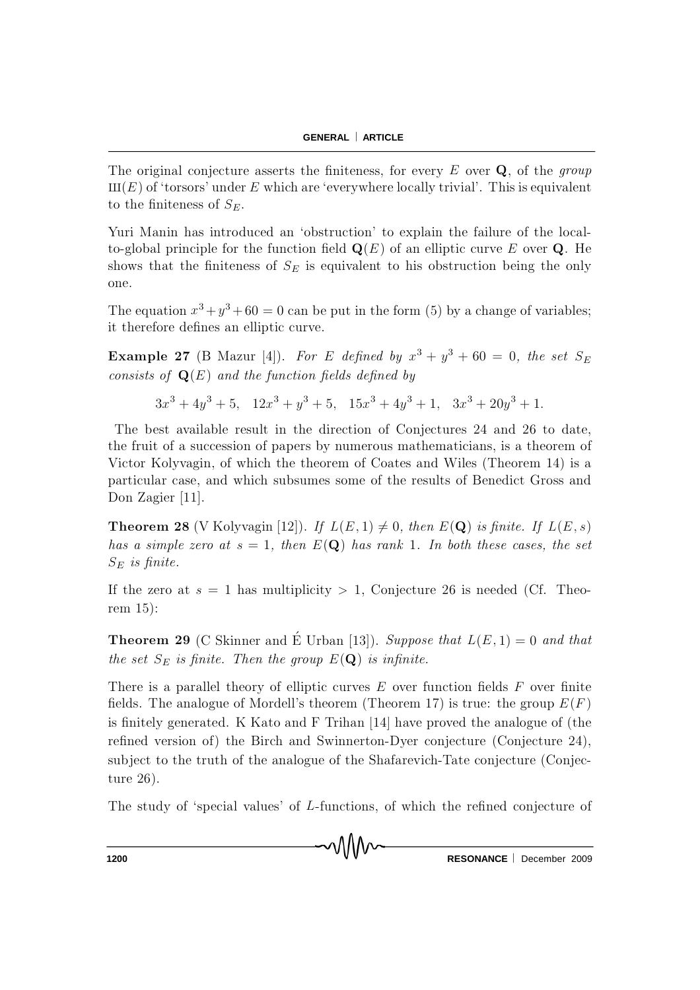The original conjecture asserts the finiteness, for every  $E$  over  $Q$ , of the *group*  $III(E)$  of 'torsors' under E which are 'everywhere locally trivial'. This is equivalent to the finiteness of  $S_E$ .

Yuri Manin has introduced an 'obstruction' to explain the failure of the localto-global principle for the function field  $\mathbf{Q}(E)$  of an elliptic curve E over Q. He shows that the finiteness of  $S_E$  is equivalent to his obstruction being the only one.

The equation  $x^3 + y^3 + 60 = 0$  can be put in the form (5) by a change of variables; it therefore defines an elliptic curve.

**Example 27** (B Mazur [4]). For E defined by  $x^3 + y^3 + 60 = 0$ , the set  $S_1$ consists of  $\mathbf{Q}(E)$  and the function fields defined by

 $3x^3 + 4y^3 + 5$ ,  $12x^3 + y^3 + 5$ ,  $15x^3 + 4y^3 + 1$ ,  $3x^3 + 20y^3 + 1$ .

The best available result in the direction of Conjectures 24 and 26 to date, the fruit of a succession of papers by numerous mathematicians, is a theorem of Victor Kolyvagin, of which the theorem of Coates and Wiles (Theorem 14) is a particular case, and which subsumes some of the results of Benedict Gross and Don Zagier [11].

**Theorem 28** (V Kolyvagin [12]). If  $L(E, 1) \neq 0$ , then  $E(\mathbf{Q})$  is finite. If  $L(E, s)$ has a simple zero at  $s = 1$ , then  $E(Q)$  has rank 1. In both these cases, the set  $S_E$  is finite.

If the zero at  $s = 1$  has multiplicity  $> 1$ , Conjecture 26 is needed (Cf. Theorem 15):

**Theorem 29** (C Skinner and É Urban [13]). Suppose that  $L(E, 1) = 0$  and that the set  $S_E$  is finite. Then the group  $E(\mathbf{Q})$  is infinite.

There is a parallel theory of elliptic curves  $E$  over function fields  $F$  over finite fields. The analogue of Mordell's theorem (Theorem 17) is true: the group  $E(F)$ is finitely generated. K K ato and F Trihan  $[14]$  have proved the analogue of (the refined version of) the Birch and Swinnerton-Dyer conjecture (Conjecture 24), subject to the truth of the analogue of the Shafarevich-Tate conjecture (Conjecture 26).

The study of 'special values' of  $L$ -functions, of which the refined conjecture of

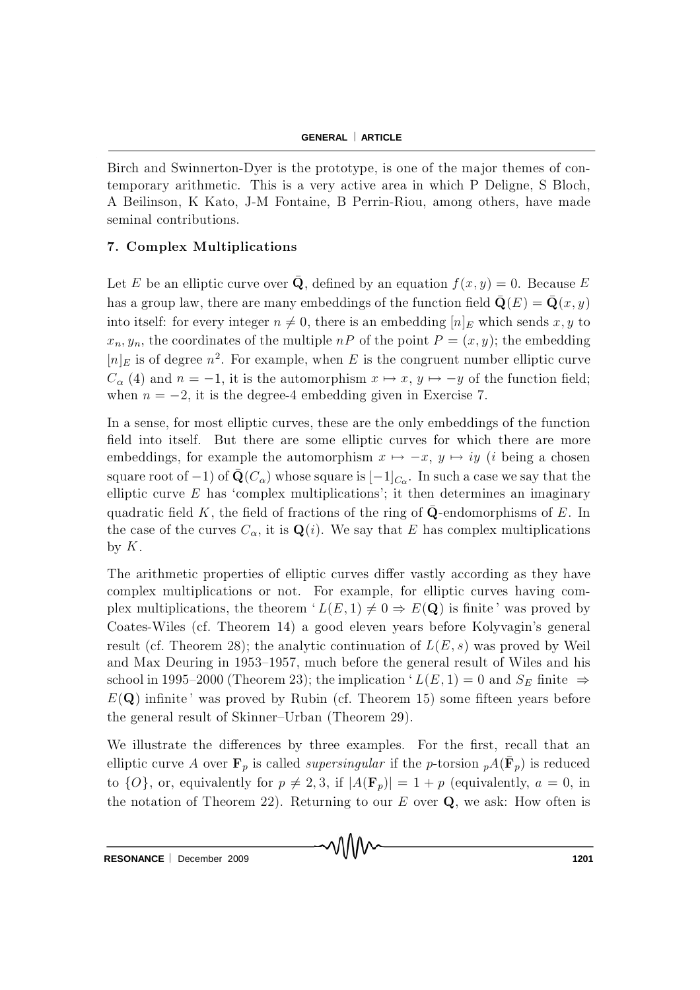Birch and Swinnerton-Dyer is the prototype, is one of the major themes of contemporary arithmetic. This is a very active area in which P Deligne, S Bloch, A Beilinson, K Kato, J-M Fontaine, B Perrin-Riou, among others, have made seminal contributions.

### 7. Complex Multiplications

Let E be an elliptic curve over  $\bar{Q}$ , defined by an equation  $f(x, y) = 0$ . Because E has a group law, there are many embeddings of the function field  $\bar{\mathbf{Q}}(E) = \bar{\mathbf{Q}}(x, y)$ into itself: for every integer  $n \neq 0$ , there is an embedding  $[n]_E$  which sends x, y to  $x_n, y_n$ , the coordinates of the multiple  $nP$  of the point  $P = (x, y)$ ; the embedding  $[n]_E$  is of degree  $n^2$ . For example, when E is the congruent number elliptic curve  $C_{\alpha}(4)$  and  $n = -1$ , it is the automorphism  $x \mapsto x, y \mapsto -y$  of the function field; when  $n = -2$ , it is the degree-4 embedding given in Exercise 7.

In a sense, for most elliptic curves, these are the only embeddings of the function field into itself. But there are some elliptic curves for which there are more embeddings, for example the automorphism  $x \mapsto -x$ ,  $y \mapsto iy$  (*i* being a chosen square root of  $-1$ ) of  $\bar{Q}(C_{\alpha})$  whose square is  $[-1]_{C_{\alpha}}$ . In such a case we say that the elliptic curve  $E$  has 'complex multiplications'; it then determines an imaginary quadratic field K, the field of fractions of the ring of  $\mathbf Q$ -endomorphisms of E. In the case of the curves  $C_{\alpha}$ , it is  $\mathbf{Q}(i)$ . We say that E has complex multiplications by  $K$ .

The arithmetic properties of elliptic curves differ vastly according as they have complex multiplications or not. For example, for elliptic curves having complex multiplications, the theorem  $'L(E, 1) \neq 0 \Rightarrow E(\mathbf{Q})$  is finite ' was proved by Coates-Wiles (cf. Theorem 14) a good eleven years before Kolyvagin's general result (cf. Theorem 28); the analytic continuation of  $L(E, s)$  was proved by Weil and Max Deuring in 1953–1957, much before the general result of Wiles and his school in 1995–2000 (Theorem 23); the implication ' $L(E, 1) = 0$  and  $S_E$  finite  $\Rightarrow$  $E(Q)$  infinite' was proved by Rubin (cf. Theorem 15) some fifteen years before the general result of Skinner-Urban (Theorem 29).

We illustrate the differences by three examples. For the first, recall that an elliptic curve A over  $\mathbf{F}_p$  is called *supersingular* if the *p*-torsion  $_pA(\mathbf{F}_p)$  is reduced to  $\{O\}$ , or, equivalently for  $p \neq 2, 3$ , if  $|A(\mathbf{F}_p)| = 1 + p$  (equivalently,  $a = 0$ , in the notation of Theorem 22). Returning to our  $E$  over  $Q$ , we ask: How often is

mMm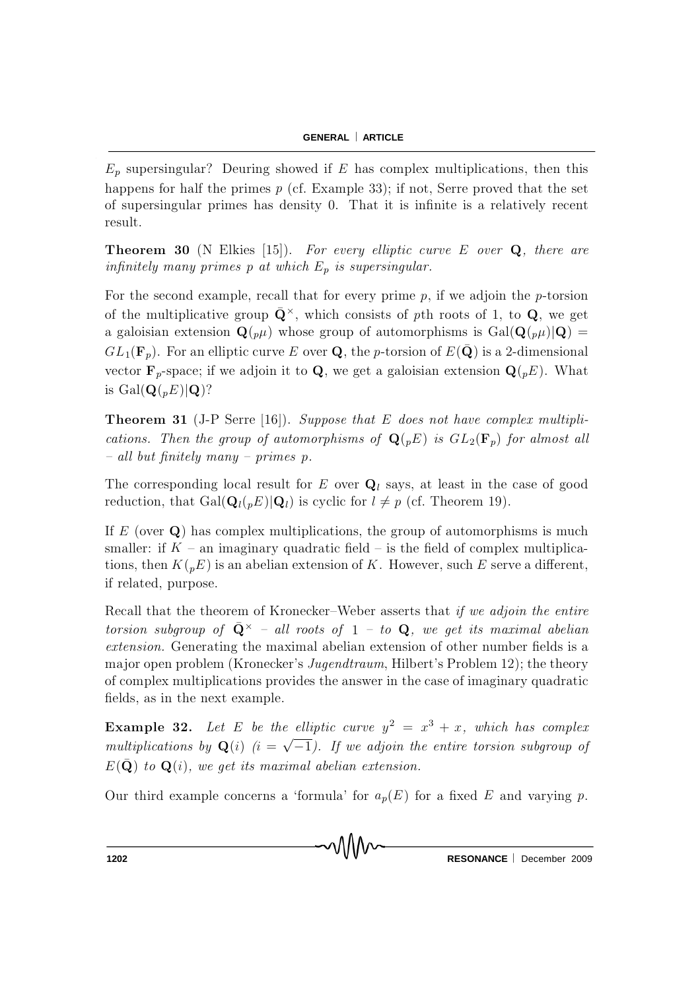$E_p$  supersingular? Deuring showed if E has complex multiplications, then this happens for half the primes  $p$  (cf. Example 33); if not, Serre proved that the set of supersingular primes has density 0. That it is infinite is a relatively recent result.

**Theorem 30** (N Elkies [15]). For every elliptic curve E over  $Q$ , there are infinitely many primes p at which  $E_p$  is supersingular.

For the second example, recall that for every prime  $p$ , if we adjoin the p-torsion of the multiplicative group  $\bar{\mathbf{Q}}^{\times}$ , which consists of pth roots of 1, to Q, we get a galoisian extension  $\mathbf{Q}(\rho\mu)$  whose group of automorphisms is  $Gal(\mathbf{Q}(\rho\mu)|\mathbf{Q}) =$  $GL_1(\mathbf{F}_p)$ . For an elliptic curve E over Q, the p-torsion of  $E(\bar{\mathbf{Q}})$  is a 2-dimensional vector  $\mathbf{F}_p$ -space; if we adjoin it to Q, we get a galoisian extension  $\mathbf{Q}(\rho E)$ . What is  $Gal(\mathbf{Q}(pE)|\mathbf{Q})$ ?

**Theorem 31** (J-P Serre [16]). Suppose that E does not have complex multiplications. Then the group of automorphisms of  $\mathbf{Q}(pE)$  is  $GL_2(\mathbf{F}_p)$  for almost all  ${ -}$  all but finitely many  ${ -}$  primes p.

The corresponding local result for E over  $Q_l$  says, at least in the case of good reduction, that  $Gal(\mathbf{Q}_{l}(p E)|\mathbf{Q}_{l})$  is cyclic for  $l \neq p$  (cf. Theorem 19).

If E (over  $Q$ ) has complex multiplications, the group of automorphisms is much smaller: if  $K$  – an imaginary quadratic field – is the field of complex multiplications, then  $K({}_p E)$  is an abelian extension of K. However, such E serve a different, if related, purpose.

Recall that the theorem of Kronecker–Weber asserts that if we adjoin the entire torsion subgroup of  $\bar{\mathbf{Q}}^{\times}$  - all roots of 1 - to  $\mathbf{Q}$ , we get its maximal abelian extension. Generating the maximal abelian extension of other number fields is a major open problem (Kronecker's *Jugendtraum*, Hilbert's Problem 12); the theory of complex multiplications provides the answer in the case of imaginary quadratic fields, as in the next example.

**Example 32.** Let E be the elliptic curve  $y^2 = x^3 + x$ , which has complex multiplications by  $\mathbf{Q}(i)$   $(i = \sqrt{-1})$ . If we adjoin the entire torsion subgroup of  $E(\bar{\mathbf{Q}})$  to  $\mathbf{Q}(i)$ , we get its maximal abelian extension.

Our third example concerns a 'formula' for  $a_p(E)$  for a fixed E and varying p.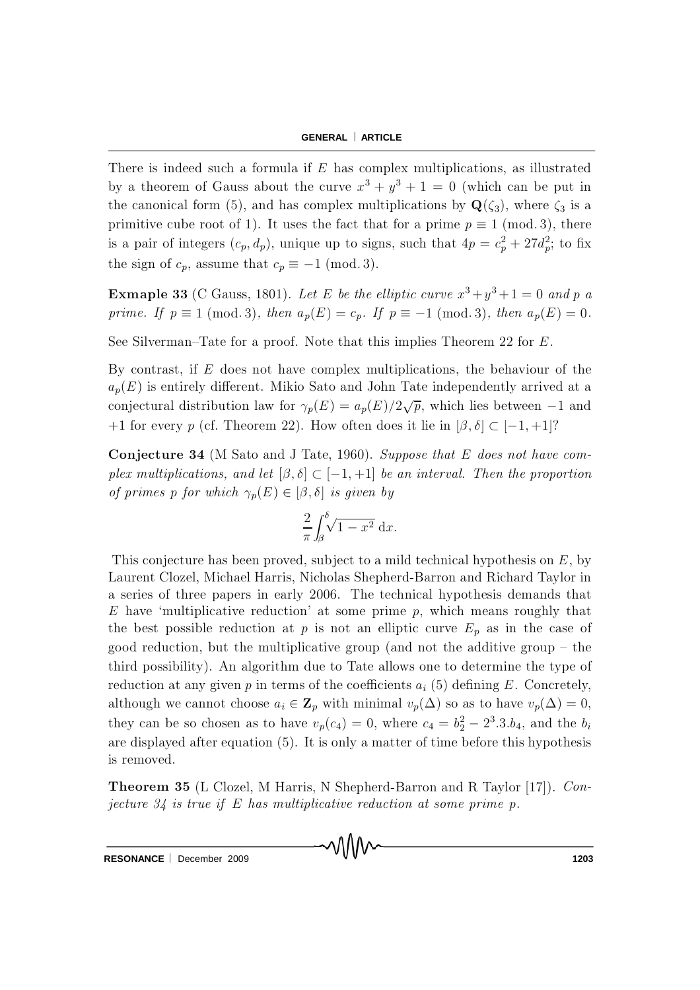There is indeed such a formula if  $E$  has complex multiplications, as illustrated by a theorem of Gauss about the curve  $x^3 + y^3 + 1 = 0$  (which can be put in the canonical form (5), and has complex multiplications by  $\mathbf{Q}(\zeta_3)$ , where  $\zeta_3$  is a primitive cube root of 1). It uses the fact that for a prime  $p \equiv 1 \pmod{3}$ , there is a pair of integers  $(c_p, d_p)$ , unique up to signs, such that  $4p = c_p^2 + 27d_p^2$ ; to fix the sign of  $c_p$ , assume that  $c_p \equiv -1 \pmod{3}$ .

**Exmaple 33** (C Gauss, 1801). Let E be the elliptic curve  $x^3 + y^3 + 1 = 0$  and p a prime. If  $p \equiv 1 \pmod{3}$ , then  $a_p(E) = c_p$ . If  $p \equiv -1 \pmod{3}$ , then  $a_p(E) = 0$ .

See Silverman–Tate for a proof. Note that this implies Theorem 22 for  $E$ .

By contrast, if  $E$  does not have complex multiplications, the behaviour of the  $a_p(E)$  is entirely different. Mikio Sato and John Tate independently arrived at a conjectural distribution law for  $\gamma_p(E) = a_p(E)/2\sqrt{p}$ , which lies between  $-1$  and +1 for every p (cf. Theorem 22). How often does it lie in  $[\beta, \delta] \subset [-1, +1]$ ?

**Conjecture 34** (M Sato and J Tate, 1960). Suppose that E does not have complex multiplications, and let  $[\beta, \delta] \subset [-1, +1]$  be an interval. Then the proportion of primes p for which  $\gamma_p(E) \in [\beta, \delta]$  is given by

$$
\frac{2}{\pi} \int_{\beta}^{\delta} \sqrt{1 - x^2} \, \mathrm{d}x.
$$

This conjecture has been proved, subject to a mild technical hypothesis on  $E$ , by Laurent Clozel, Michael Harris, Nicholas Shepherd-Barron and Richard Taylor in a series of three papers in early 2006. The technical hypothesis demands that E have 'multiplicative reduction' at some prime  $p$ , which means roughly that the best possible reduction at p is not an elliptic curve  $E_p$  as in the case of good reduction, but the multiplicative group (and not the additive group  $-$  the third possibility). An algorithm due to Tate allows one to determine the type of reduction at any given p in terms of the coefficients  $a_i$  (5) defining E. Concretely, although we cannot choose  $a_i \in \mathbb{Z}_p$  with minimal  $v_p(\Delta)$  so as to have  $v_p(\Delta) = 0$ , they can be so chosen as to have  $v_p(c_4) = 0$ , where  $c_4 = b_2^2 - 2^3 \cdot 3 \cdot b_4$ , and the  $b_i$ are displayed after equation  $(5)$ . It is only a matter of time before this hypothesis is rem oved.

**Theorem 35** (L Clozel, M Harris, N Shepherd-Barron and R Taylor  $[17]$ ). Conjecture  $34$  is true if E has multiplicative reduction at some prime p.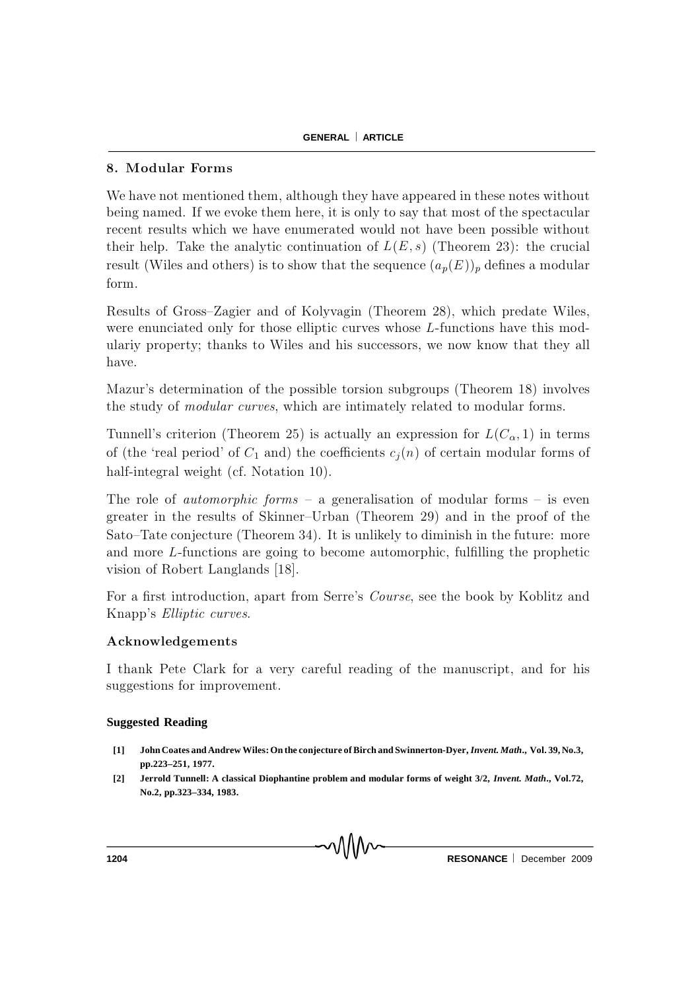## 8. Modular Forms

We have not mentioned them, although they have appeared in these notes without being named. If we evoke them here, it is only to say that most of the spectacular recent results which we have enumerated would not have been possible without their help. Take the analytic continuation of  $L(E, s)$  (Theorem 23): the crucial result (Wiles and others) is to show that the sequence  $(a_p(E))_p$  defines a modular form.

Results of Gross-Zagier and of Kolyvagin (Theorem 28), which predate Wiles, were enunciated only for those elliptic curves whose  $L$ -functions have this modulariy property; thanks to Wiles and his successors, we now know that they all have.

Mazur's determination of the possible torsion subgroups (Theorem 18) involves the study of *modular curves*, which are intimately related to modular forms.

Tunnell's criterion (Theorem 25) is actually an expression for  $L(C_{\alpha}, 1)$  in terms of (the 'real period' of  $C_1$  and) the coefficients  $c_j(n)$  of certain modular forms of half-integral weight (cf. Notation 10).

The role of *automorphic forms*  $-$  a generalisation of modular forms  $-$  is even greater in the results of Skinner-Urban (Theorem 29) and in the proof of the Sato–Tate conjecture (Theorem 34). It is unlikely to diminish in the future: more and more  $L$ -functions are going to become automorphic, fulfilling the prophetic vision of Robert Langlands [18].

For a first introduction, apart from Serre's *Course*, see the book by K oblitz and Knapp's *Elliptic curves*.

## A cknowledgements

I thank Pete Clark for a very careful reading of the manuscript, and for his suggestions for improvement.

## **Suggested Reading**

- **[1] John Coates and Andrew Wiles: On the conjecture of Birch and Swinnerton-Dyer,** *Invent. Math***., Vol. 39, No.3, pp.223–251, 1977.**
- **[2] Jerrold Tunnell: A classical Diophantine problem and modular forms of weight 3/2,** *Invent. Math***., Vol.72, No.2, pp.323–334, 1983.**